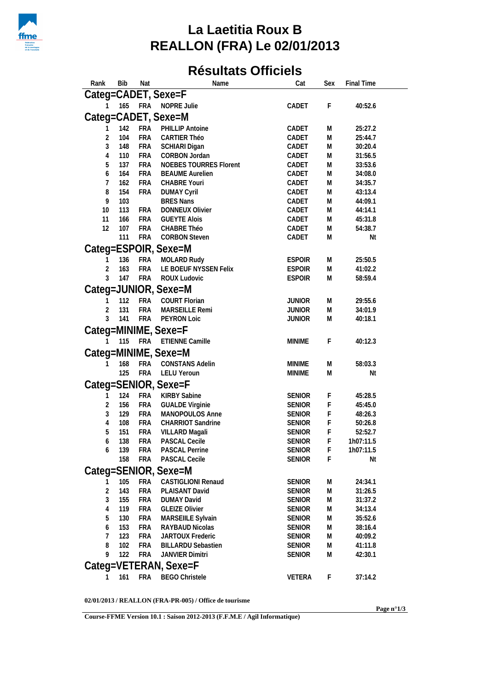

## **La Laetitia Roux B REALLON (FRA) Le 02/01/2013**

## **Résultats Officiels**

| Rank<br><b>Bib</b>    | Nat        | Name                                   | Cat           | Sex       | <b>Final Time</b> |
|-----------------------|------------|----------------------------------------|---------------|-----------|-------------------|
| Categ=CADET, Sexe=F   |            |                                        |               |           |                   |
| 165                   | <b>FRA</b> | NOPRE Julie                            | CADET         | F         | 40:52.6           |
|                       |            |                                        |               |           |                   |
| Categ=CADET, Sexe=M   |            |                                        |               |           |                   |
| 142                   | <b>FRA</b> | PHILLIP Antoine                        | CADET         | M         | 25:27.2           |
| 2<br>104              | <b>FRA</b> | <b>CARTIER Théo</b>                    | CADET         | ${\sf M}$ | 25:44.7           |
| 3<br>148              | <b>FRA</b> | SCHIARI Digan                          | CADET         | Μ         | 30:20.4           |
| 110<br>4              | <b>FRA</b> | CORBON Jordan                          | CADET         | Μ         | 31:56.5           |
| 137<br>5              | <b>FRA</b> | <b>NOEBES TOURRES Florent</b>          | CADET         | M         | 33:53.6           |
| 164<br>6              | <b>FRA</b> | <b>BEAUME Aurelien</b>                 | CADET         | Μ         | 34:08.0           |
| 162                   | <b>FRA</b> | CHABRE Youri                           | CADET         | M         | 34:35.7           |
| 8<br>154<br>103       | <b>FRA</b> | <b>DUMAY Cyril</b><br><b>BRES Nans</b> | CADET         | M         | 43:13.4           |
| 9                     |            |                                        | CADET         | M         | 44:09.1           |
| 10<br>113             | <b>FRA</b> | DONNEUX Olivier                        | CADET         | M         | 44:14.1           |
| 11<br>166<br>12       | <b>FRA</b> | <b>GUEYTE Alois</b>                    | CADET         | M         | 45:31.8           |
| 107                   | <b>FRA</b> | CHABRE Théo                            | CADET         | M         | 54:38.7           |
| 111                   | <b>FRA</b> | <b>CORBON Steven</b>                   | CADET         | M         | Nt                |
| Categ=ESPOIR, Sexe=M  |            |                                        |               |           |                   |
| 136                   | <b>FRA</b> | MOLARD Rudy                            | <b>ESPOIR</b> | M         | 25:50.5           |
| $\overline{2}$<br>163 | <b>FRA</b> | LE BOEUF NYSSEN Felix                  | <b>ESPOIR</b> | M         | 41:02.2           |
| 3<br>147              | <b>FRA</b> | ROUX Ludovic                           | <b>ESPOIR</b> | M         | 58:59.4           |
| Categ=JUNIOR, Sexe=M  |            |                                        |               |           |                   |
| 112                   | <b>FRA</b> | COURT Florian                          | <b>JUNIOR</b> | M         | 29:55.6           |
| 2<br>131              | <b>FRA</b> | MARSEILLE Remi                         | <b>JUNIOR</b> | ${\sf M}$ | 34:01.9           |
| 3<br>141              | <b>FRA</b> | PEYRON Loic                            | <b>JUNIOR</b> | M         | 40:18.1           |
|                       |            |                                        |               |           |                   |
| Categ=MINIME, Sexe=F  |            |                                        |               |           |                   |
| 115                   | <b>FRA</b> | <b>ETIENNE Camille</b>                 | <b>MINIME</b> | F         | 40:12.3           |
| Categ=MINIME, Sexe=M  |            |                                        |               |           |                   |
| 168                   | <b>FRA</b> | <b>CONSTANS Adelin</b>                 | <b>MINIME</b> | M         | 58:03.3           |
| 125                   | <b>FRA</b> | <b>LELU Yeroun</b>                     | <b>MINIME</b> | M         | Nt                |
| Categ=SENIOR, Sexe=F  |            |                                        |               |           |                   |
|                       |            |                                        |               |           |                   |
| 124<br>1              | <b>FRA</b> | <b>KIRBY Sabine</b>                    | <b>SENIOR</b> | F         | 45:28.5           |
| 2<br>156              | <b>FRA</b> | <b>GUALDE Virginie</b>                 | <b>SENIOR</b> | F         | 45:45.0           |
| 3<br>129              | <b>FRA</b> | MANOPOULOS Anne                        | <b>SENIOR</b> | F         | 48:26.3           |
| 108<br>4              | <b>FRA</b> | CHARRIOT Sandrine                      | <b>SENIOR</b> | F         | 50:26.8           |
| 151<br>5              | <b>FRA</b> | VILLARD Magali                         | <b>SENIOR</b> | F         | 52:52.7           |
| 138<br>6              | <b>FRA</b> | PASCAL Cecile                          | <b>SENIOR</b> | F         | 1h07:11.5         |
| 139<br>6              | <b>FRA</b> | PASCAL Perrine                         | <b>SENIOR</b> | F         | 1h07:11.5         |
| 158                   | <b>FRA</b> | PASCAL Cecile                          | <b>SENIOR</b> | F         | Nt                |
| Categ=SENIOR, Sexe=M  |            |                                        |               |           |                   |
| 105                   | <b>FRA</b> | CASTIGLIONI Renaud                     | <b>SENIOR</b> | M         | 24:34.1           |
| $\overline{2}$<br>143 | <b>FRA</b> | PLAISANT David                         | <b>SENIOR</b> | Μ         | 31:26.5           |
| 3<br>155              | <b>FRA</b> | <b>DUMAY David</b>                     | <b>SENIOR</b> | M         | 31:37.2           |
| 119<br>4              | <b>FRA</b> | <b>GLEIZE Olivier</b>                  | <b>SENIOR</b> | M         | 34:13.4           |
| 5<br>130              | <b>FRA</b> | MARSEIILE Sylvain                      | <b>SENIOR</b> | M         | 35:52.6           |
| 153<br>6              | <b>FRA</b> | RAYBAUD Nicolas                        | <b>SENIOR</b> | M         | 38:16.4           |
| 123                   | <b>FRA</b> | JARTOUX Frederic                       | <b>SENIOR</b> | M         | 40:09.2           |
| 8<br>102              | <b>FRA</b> | <b>BILLARDU Sebastien</b>              | <b>SENIOR</b> | M         | 41:11.8           |
| 9<br>122              | <b>FRA</b> | <b>JANVIER Dimitri</b>                 | <b>SENIOR</b> | Μ         | 42:30.1           |
| Categ=VETERAN, Sexe=F |            |                                        |               |           |                   |
|                       |            |                                        |               |           |                   |
| 161                   | FRA        | <b>BEGO Christele</b>                  | <b>VETERA</b> | F         | 37:14.2           |
|                       |            |                                        |               |           |                   |

**02/01/2013 / REALLON (FRA-PR-005) / Office de tourisme**

**Course-FFME Version 10.1 : Saison 2012-2013 (F.F.M.E / Agil Informatique)**

**Page n°1/3**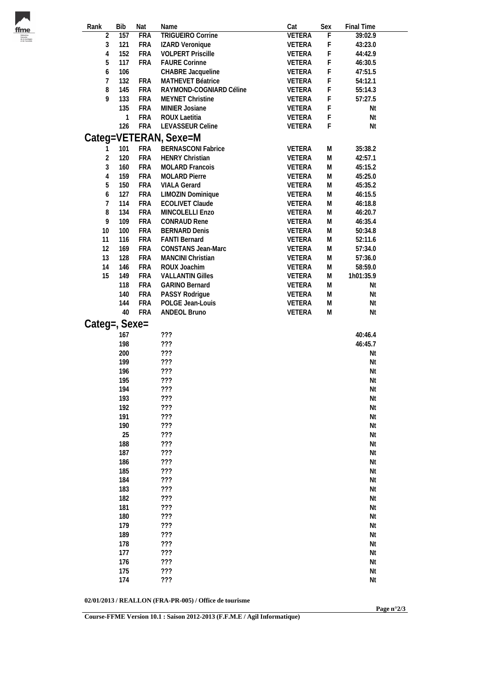| m                 |
|-------------------|
| <b>fédération</b> |
| francaise         |
| de la ree         |
| et de l'esca      |

| Rank           | <b>Bib</b> | Nat        | Name                      | Cat           | Sex       | Final Time |  |
|----------------|------------|------------|---------------------------|---------------|-----------|------------|--|
| $\overline{2}$ | 157        | <b>FRA</b> | <b>TRIGUEIRO Corrine</b>  | <b>VETERA</b> | F         | 39:02.9    |  |
| $\sqrt{3}$     | 121        | <b>FRA</b> | IZARD Veronique           | <b>VETERA</b> | F         | 43:23.0    |  |
| $\overline{4}$ | 152        | <b>FRA</b> | <b>VOLPERT Priscille</b>  | VETERA        | F         | 44:42.9    |  |
| 5              | 117        | <b>FRA</b> | <b>FAURE Corinne</b>      | <b>VETERA</b> | F         | 46:30.5    |  |
| 6              | 106        |            | CHABRE Jacqueline         | <b>VETERA</b> | F         | 47:51.5    |  |
| $\overline{7}$ | 132        | <b>FRA</b> | MATHEVET Béatrice         | <b>VETERA</b> | F         | 54:12.1    |  |
| 8              | 145        | <b>FRA</b> | RAYMOND-COGNIARD Céline   | <b>VETERA</b> | F         | 55:14.3    |  |
| 9              | 133        | <b>FRA</b> | MEYNET Christine          | <b>VETERA</b> | F         | 57:27.5    |  |
|                | 135        | <b>FRA</b> | MINIER Josiane            | VETERA        | F         | Nt         |  |
|                | 1          | <b>FRA</b> | ROUX Laetitia             | <b>VETERA</b> | F         | Nt         |  |
|                | 126        | <b>FRA</b> | LEVASSEUR Celine          | <b>VETERA</b> | F         | Nt         |  |
|                |            |            | Categ=VETERAN, Sexe=M     |               |           |            |  |
| 1              | 101        | <b>FRA</b> | <b>BERNASCONI Fabrice</b> | <b>VETERA</b> | ${\sf M}$ | 35:38.2    |  |
| $\sqrt{2}$     | 120        | <b>FRA</b> | <b>HENRY Christian</b>    | <b>VETERA</b> | ${\sf M}$ | 42:57.1    |  |
| 3              | 160        | <b>FRA</b> | MOLARD Francois           | VETERA        | ${\sf M}$ | 45:15.2    |  |
| $\overline{4}$ | 159        | <b>FRA</b> | <b>MOLARD Pierre</b>      | <b>VETERA</b> | ${\sf M}$ | 45:25.0    |  |
| 5              | 150        | <b>FRA</b> | <b>VIALA Gerard</b>       | <b>VETERA</b> | M         | 45:35.2    |  |
| 6              | 127        | <b>FRA</b> | LIMOZIN Dominique         | <b>VETERA</b> | M         | 46:15.5    |  |
| $\overline{7}$ | 114        | <b>FRA</b> | <b>ECOLIVET Claude</b>    | <b>VETERA</b> | M         | 46:18.8    |  |
| 8              | 134        | <b>FRA</b> | MINCOLELLI Enzo           | <b>VETERA</b> | M         | 46:20.7    |  |
| 9              | 109        | <b>FRA</b> | CONRAUD Rene              | <b>VETERA</b> | ${\sf M}$ | 46:35.4    |  |
|                |            |            |                           |               |           |            |  |
| 10             | 100        | <b>FRA</b> | <b>BERNARD Denis</b>      | <b>VETERA</b> | ${\sf M}$ | 50:34.8    |  |
| 11             | 116        | <b>FRA</b> | <b>FANTI Bernard</b>      | <b>VETERA</b> | ${\sf M}$ | 52:11.6    |  |
| 12             | 169        | <b>FRA</b> | CONSTANS Jean-Marc        | <b>VETERA</b> | ${\sf M}$ | 57:34.0    |  |
| 13             | 128        | <b>FRA</b> | MANCINI Christian         | <b>VETERA</b> | ${\sf M}$ | 57:36.0    |  |
| 14             | 146        | <b>FRA</b> | ROUX Joachim              | <b>VETERA</b> | M         | 58:59.0    |  |
| 15             | 149        | <b>FRA</b> | <b>VALLANTIN Gilles</b>   | <b>VETERA</b> | M         | 1h01:35.9  |  |
|                | 118        | <b>FRA</b> | <b>GARINO Bernard</b>     | VETERA        | ${\sf M}$ | Nt         |  |
|                | 140        | <b>FRA</b> | PASSY Rodrigue            | <b>VETERA</b> | ${\sf M}$ | Nt         |  |
|                | 144        | <b>FRA</b> | POLGE Jean-Louis          | <b>VETERA</b> | ${\sf M}$ | Nt         |  |
|                | 40         | <b>FRA</b> | ANDEOL Bruno              | <b>VETERA</b> | ${\sf M}$ | Nt         |  |
| Categ=, Sexe=  |            |            |                           |               |           |            |  |
|                | 167        |            | ???                       |               |           | 40:46.4    |  |
|                | 198        |            | 777                       |               |           | 46:45.7    |  |
|                | 200        |            | 777                       |               |           | Nt         |  |
|                |            |            |                           |               |           |            |  |
|                | 199        |            | 777                       |               |           | Nt         |  |
|                | 196        |            | 777                       |               |           | Nt         |  |
|                | 195        |            | 777                       |               |           | Nt         |  |
|                | 194        |            | ???                       |               |           | Nt         |  |
|                | 193        |            | ???                       |               |           | Nt         |  |
|                | 192        |            | 777                       |               |           | Nt         |  |
|                | 191        |            | ???                       |               |           | Nt         |  |
|                | 190        |            | 777                       |               |           | Nt         |  |
|                | 25         |            | 777                       |               |           | Nt         |  |
|                | 188        |            | 777                       |               |           | Nt         |  |
|                | 187        |            | ???                       |               |           | Nt         |  |
|                | 186        |            | 777                       |               |           | Nt         |  |
|                | 185        |            | 777                       |               |           | Nt         |  |
|                | 184        |            | 777                       |               |           | Nt         |  |
|                | 183        |            | 777                       |               |           | Nt         |  |
|                | 182        |            | 777                       |               |           | Nt         |  |
|                | 181        |            | ???                       |               |           | Nt         |  |
|                | 180        |            | 777                       |               |           |            |  |
|                |            |            |                           |               |           | Nt         |  |
|                | 179        |            | ???                       |               |           | Nt         |  |
|                | 189        |            | 777                       |               |           | Nt         |  |
|                | 178        |            | ???                       |               |           | Nt         |  |
|                | 177        |            | 777                       |               |           | Nt         |  |
|                | 176        |            | 777                       |               |           | Nt         |  |
|                | 175        |            | 777                       |               |           | Nt         |  |
|                | 174        |            | 777                       |               |           | Nt         |  |

**02/01/2013 / REALLON (FRA-PR-005) / Office de tourisme**

**Course-FFME Version 10.1 : Saison 2012-2013 (F.F.M.E / Agil Informatique)**